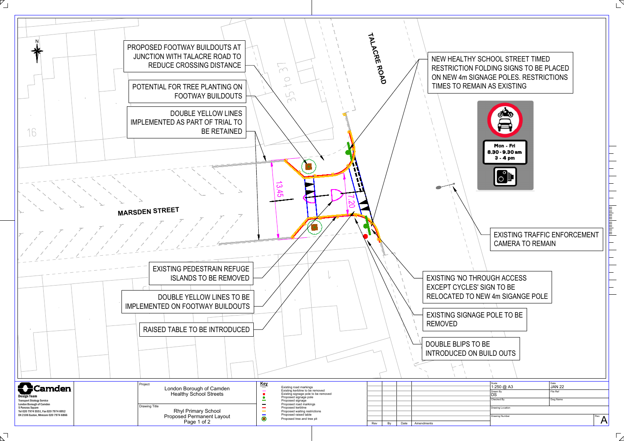



 $\overline{\phantom{a}}$   $_1$ 

 $\sqrt{}$ 

| Scale<br>1:250 @ A3   | Date<br><b>JAN 22</b> |      |
|-----------------------|-----------------------|------|
| Drawn By<br>DS        | File Ref              |      |
| Checked By            | Dwg Name              |      |
| Drawing Location      |                       |      |
| <b>Drawing Number</b> |                       | Rev. |
|                       |                       |      |

 $\Box$ 

RESTRICTION FOLDING SIGNS TO BE PLACED ON NEW 4m SIGNAGE POLES. RESTRICTIONS